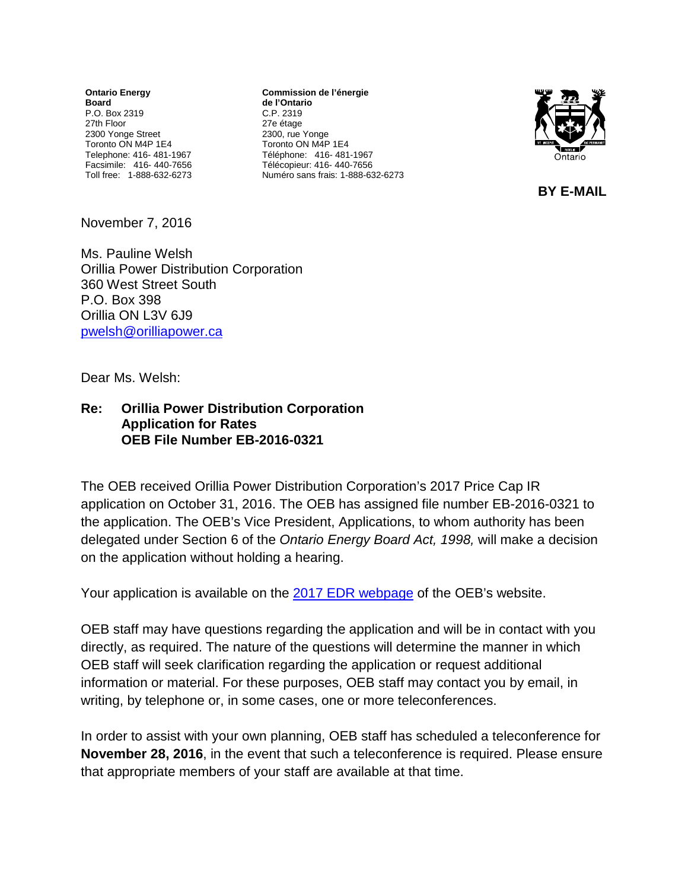**Ontario Energy Board** P.O. Box 2319 27th Floor 2300 Yonge Street Toronto ON M4P 1E4 Telephone: 416- 481-1967 Facsimile: 416- 440-7656 Toll free: 1-888-632-6273

**Commission de l'énergie de l'Ontario** C.P. 2319 27e étage 2300, rue Yonge Toronto ON M4P 1E4 Téléphone: 416- 481-1967 Télécopieur: 416- 440-7656 Numéro sans frais: 1-888-632-6273



 **BY E-MAIL** 

November 7, 2016

Ms. Pauline Welsh Orillia Power Distribution Corporation 360 West Street South P.O. Box 398 Orillia ON L3V 6J9 [pwelsh@orilliapower.ca](mailto:pwelsh@orilliapower.ca)

Dear Ms. Welsh:

## **Re: Orillia Power Distribution Corporation Application for Rates OEB File Number EB-2016-0321**

The OEB received Orillia Power Distribution Corporation's 2017 Price Cap IR application on October 31, 2016. The OEB has assigned file number EB-2016-0321 to the application. The OEB's Vice President, Applications, to whom authority has been delegated under Section 6 of the *Ontario Energy Board Act, 1998,* will make a decision on the application without holding a hearing.

Your application is available on the 2017 [EDR webpage](http://www.ontarioenergyboard.ca/oeb/Industry/Regulatory%20Proceedings/Applications%20Before%20the%20Board/Electricity%20Distribution%20Rates/2017%20Electricity%20Distribution%20Rate%20Applications) of the OEB's website.

OEB staff may have questions regarding the application and will be in contact with you directly, as required. The nature of the questions will determine the manner in which OEB staff will seek clarification regarding the application or request additional information or material. For these purposes, OEB staff may contact you by email, in writing, by telephone or, in some cases, one or more teleconferences.

In order to assist with your own planning, OEB staff has scheduled a teleconference for **November 28, 2016**, in the event that such a teleconference is required. Please ensure that appropriate members of your staff are available at that time.